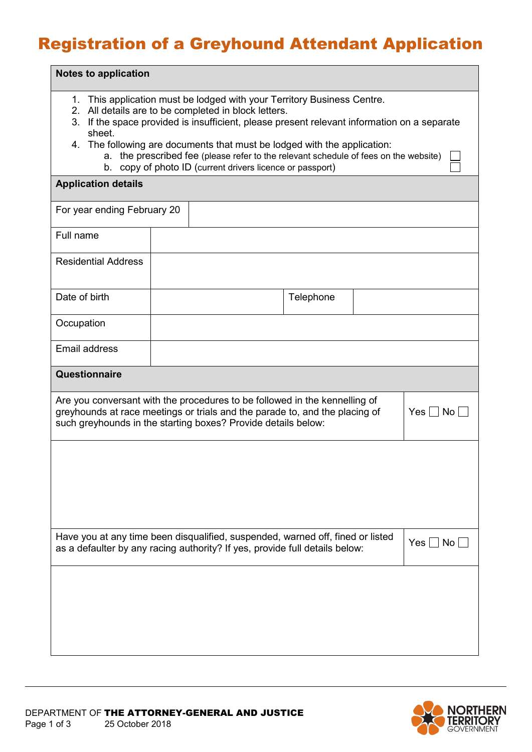## Registration of a Greyhound Attendant Application

| <b>Notes to application</b>                                                                                                                                                                                                                                                                                                                                                                                                                                                  |  |  |           |  |  |  |
|------------------------------------------------------------------------------------------------------------------------------------------------------------------------------------------------------------------------------------------------------------------------------------------------------------------------------------------------------------------------------------------------------------------------------------------------------------------------------|--|--|-----------|--|--|--|
| 1. This application must be lodged with your Territory Business Centre.<br>2. All details are to be completed in block letters.<br>3. If the space provided is insufficient, please present relevant information on a separate<br>sheet.<br>4. The following are documents that must be lodged with the application:<br>the prescribed fee (please refer to the relevant schedule of fees on the website)<br>а.<br>b. copy of photo ID (current drivers licence or passport) |  |  |           |  |  |  |
| <b>Application details</b>                                                                                                                                                                                                                                                                                                                                                                                                                                                   |  |  |           |  |  |  |
| For year ending February 20                                                                                                                                                                                                                                                                                                                                                                                                                                                  |  |  |           |  |  |  |
| Full name                                                                                                                                                                                                                                                                                                                                                                                                                                                                    |  |  |           |  |  |  |
| <b>Residential Address</b>                                                                                                                                                                                                                                                                                                                                                                                                                                                   |  |  |           |  |  |  |
| Date of birth                                                                                                                                                                                                                                                                                                                                                                                                                                                                |  |  | Telephone |  |  |  |
| Occupation                                                                                                                                                                                                                                                                                                                                                                                                                                                                   |  |  |           |  |  |  |
| Email address                                                                                                                                                                                                                                                                                                                                                                                                                                                                |  |  |           |  |  |  |
| Questionnaire                                                                                                                                                                                                                                                                                                                                                                                                                                                                |  |  |           |  |  |  |
| Are you conversant with the procedures to be followed in the kennelling of<br>greyhounds at race meetings or trials and the parade to, and the placing of<br>$Yes \Box No \Box$<br>such greyhounds in the starting boxes? Provide details below:                                                                                                                                                                                                                             |  |  |           |  |  |  |
|                                                                                                                                                                                                                                                                                                                                                                                                                                                                              |  |  |           |  |  |  |
| Have you at any time been disqualified, suspended, warned off, fined or listed<br>$Yes \Box No \Box$<br>as a defaulter by any racing authority? If yes, provide full details below:                                                                                                                                                                                                                                                                                          |  |  |           |  |  |  |
|                                                                                                                                                                                                                                                                                                                                                                                                                                                                              |  |  |           |  |  |  |

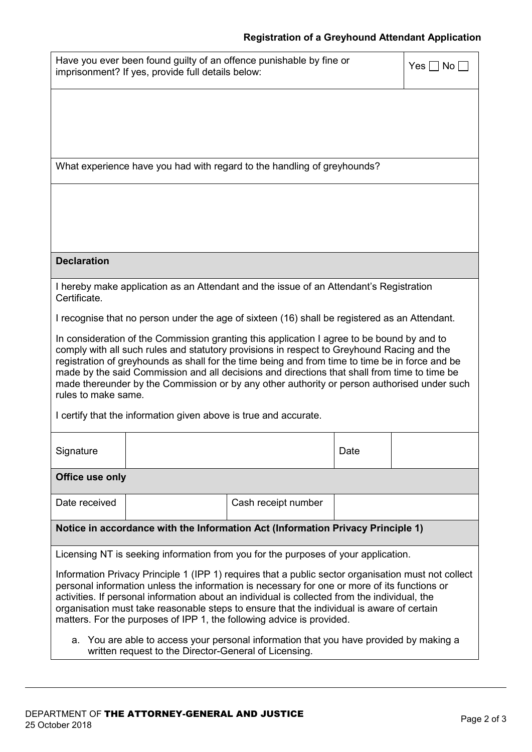## **Registration of a Greyhound Attendant Application**

| Have you ever been found guilty of an offence punishable by fine or<br>$Yes \Box No \Box$<br>imprisonment? If yes, provide full details below:                                                                                                                                                                                                                                                                                                                                                                    |  |                     |      |  |  |  |
|-------------------------------------------------------------------------------------------------------------------------------------------------------------------------------------------------------------------------------------------------------------------------------------------------------------------------------------------------------------------------------------------------------------------------------------------------------------------------------------------------------------------|--|---------------------|------|--|--|--|
|                                                                                                                                                                                                                                                                                                                                                                                                                                                                                                                   |  |                     |      |  |  |  |
|                                                                                                                                                                                                                                                                                                                                                                                                                                                                                                                   |  |                     |      |  |  |  |
| What experience have you had with regard to the handling of greyhounds?                                                                                                                                                                                                                                                                                                                                                                                                                                           |  |                     |      |  |  |  |
|                                                                                                                                                                                                                                                                                                                                                                                                                                                                                                                   |  |                     |      |  |  |  |
|                                                                                                                                                                                                                                                                                                                                                                                                                                                                                                                   |  |                     |      |  |  |  |
| <b>Declaration</b>                                                                                                                                                                                                                                                                                                                                                                                                                                                                                                |  |                     |      |  |  |  |
| I hereby make application as an Attendant and the issue of an Attendant's Registration<br>Certificate.                                                                                                                                                                                                                                                                                                                                                                                                            |  |                     |      |  |  |  |
| I recognise that no person under the age of sixteen (16) shall be registered as an Attendant.                                                                                                                                                                                                                                                                                                                                                                                                                     |  |                     |      |  |  |  |
| In consideration of the Commission granting this application I agree to be bound by and to<br>comply with all such rules and statutory provisions in respect to Greyhound Racing and the<br>registration of greyhounds as shall for the time being and from time to time be in force and be<br>made by the said Commission and all decisions and directions that shall from time to time be<br>made thereunder by the Commission or by any other authority or person authorised under such<br>rules to make same. |  |                     |      |  |  |  |
| I certify that the information given above is true and accurate.                                                                                                                                                                                                                                                                                                                                                                                                                                                  |  |                     |      |  |  |  |
| Signature                                                                                                                                                                                                                                                                                                                                                                                                                                                                                                         |  |                     | Date |  |  |  |
| Office use only                                                                                                                                                                                                                                                                                                                                                                                                                                                                                                   |  |                     |      |  |  |  |
| Date received                                                                                                                                                                                                                                                                                                                                                                                                                                                                                                     |  | Cash receipt number |      |  |  |  |
| Notice in accordance with the Information Act (Information Privacy Principle 1)                                                                                                                                                                                                                                                                                                                                                                                                                                   |  |                     |      |  |  |  |
| Licensing NT is seeking information from you for the purposes of your application.                                                                                                                                                                                                                                                                                                                                                                                                                                |  |                     |      |  |  |  |
| Information Privacy Principle 1 (IPP 1) requires that a public sector organisation must not collect<br>personal information unless the information is necessary for one or more of its functions or<br>activities. If personal information about an individual is collected from the individual, the<br>organisation must take reasonable steps to ensure that the individual is aware of certain<br>matters. For the purposes of IPP 1, the following advice is provided.                                        |  |                     |      |  |  |  |
| a. You are able to access your personal information that you have provided by making a<br>written request to the Director-General of Licensing.                                                                                                                                                                                                                                                                                                                                                                   |  |                     |      |  |  |  |